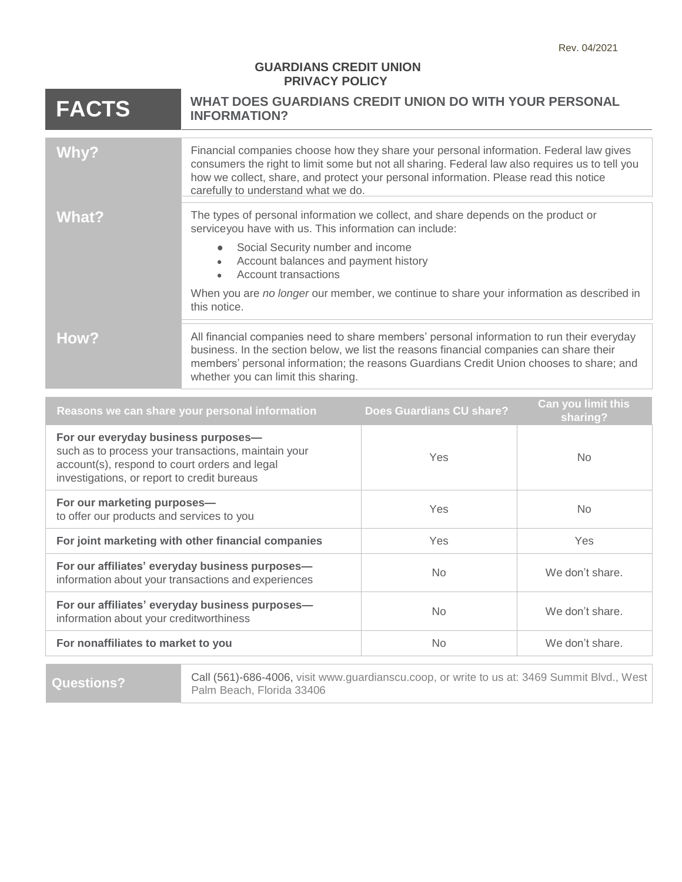## **GUARDIANS CREDIT UNION PRIVACY POLICY**

| <b>FACTS</b> | WHAT DOES GUARDIANS CREDIT UNION DO WITH YOUR PERSONAL<br><b>INFORMATION?</b>                                                                                                                                                                                                                                             |  |
|--------------|---------------------------------------------------------------------------------------------------------------------------------------------------------------------------------------------------------------------------------------------------------------------------------------------------------------------------|--|
|              |                                                                                                                                                                                                                                                                                                                           |  |
| Why?         | Financial companies choose how they share your personal information. Federal law gives<br>consumers the right to limit some but not all sharing. Federal law also requires us to tell you<br>how we collect, share, and protect your personal information. Please read this notice<br>carefully to understand what we do. |  |
|              |                                                                                                                                                                                                                                                                                                                           |  |
| What?        | The types of personal information we collect, and share depends on the product or<br>serviceyou have with us. This information can include:                                                                                                                                                                               |  |
|              | Social Security number and income<br>Account balances and payment history<br>Account transactions                                                                                                                                                                                                                         |  |
|              | When you are no longer our member, we continue to share your information as described in<br>this notice.                                                                                                                                                                                                                  |  |
|              |                                                                                                                                                                                                                                                                                                                           |  |
| How?         | All financial companies need to share members' personal information to run their everyday<br>business. In the section below, we list the reasons financial companies can share their<br>members' personal information; the reasons Guardians Credit Union chooses to share; and<br>whether you can limit this sharing.    |  |

| Reasons we can share your personal information                                                                                                                                             | <b>Does Guardians CU share?</b> | Can you limit this<br>sharing? |
|--------------------------------------------------------------------------------------------------------------------------------------------------------------------------------------------|---------------------------------|--------------------------------|
| For our everyday business purposes-<br>such as to process your transactions, maintain your<br>account(s), respond to court orders and legal<br>investigations, or report to credit bureaus | Yes                             | No.                            |
| For our marketing purposes-<br>to offer our products and services to you                                                                                                                   | Yes                             | No.                            |
| For joint marketing with other financial companies                                                                                                                                         | Yes                             | Yes                            |
| For our affiliates' everyday business purposes-<br>information about your transactions and experiences                                                                                     | No.                             | We don't share.                |
| For our affiliates' everyday business purposes-<br>information about your creditworthiness                                                                                                 | No.                             | We don't share.                |
| For nonaffiliates to market to you                                                                                                                                                         | No.                             | We don't share.                |
|                                                                                                                                                                                            |                                 |                                |

Questions? Call (561)-686-4006, visit [www.guardianscu.coop,](https://www.guardianscu.coop/) or write to us at: 3469 Summit Blvd., West Palm Beach, Florida 33406